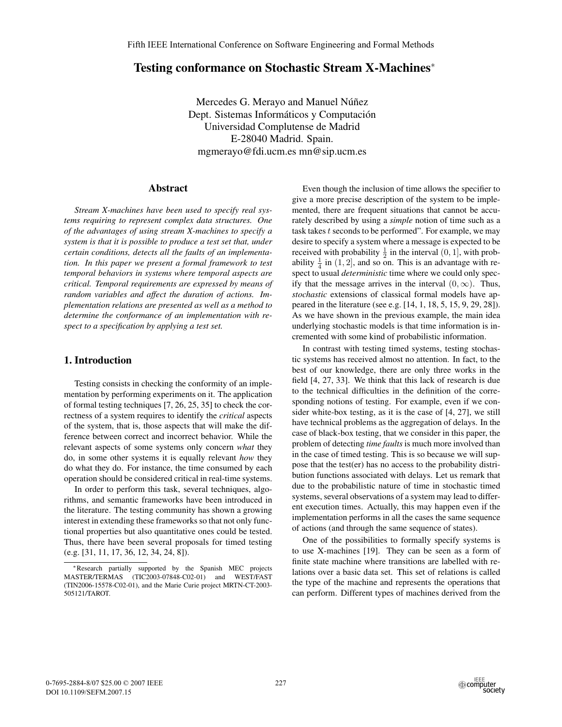# **Testing conformance on Stochastic Stream X-Machines**<sup>∗</sup>

Mercedes G. Merayo and Manuel Núñez Dept. Sistemas Informáticos y Computación Universidad Complutense de Madrid E-28040 Madrid. Spain. mgmerayo@fdi.ucm.es mn@sip.ucm.es

# **Abstract**

*Stream X-machines have been used to specify real systems requiring to represent complex data structures. One of the advantages of using stream X-machines to specify a system is that it is possible to produce a test set that, under certain conditions, detects all the faults of an implementation. In this paper we present a formal framework to test temporal behaviors in systems where temporal aspects are critical. Temporal requirements are expressed by means of random variables and affect the duration of actions. Implementation relations are presented as well as a method to determine the conformance of an implementation with respect to a specification by applying a test set.*

# **1. Introduction**

Testing consists in checking the conformity of an implementation by performing experiments on it. The application of formal testing techniques [7, 26, 25, 35] to check the correctness of a system requires to identify the *critical* aspects of the system, that is, those aspects that will make the difference between correct and incorrect behavior. While the relevant aspects of some systems only concern *what* they do, in some other systems it is equally relevant *how* they do what they do. For instance, the time consumed by each operation should be considered critical in real-time systems.

In order to perform this task, several techniques, algorithms, and semantic frameworks have been introduced in the literature. The testing community has shown a growing interest in extending these frameworks so that not only functional properties but also quantitative ones could be tested. Thus, there have been several proposals for timed testing (e.g. [31, 11, 17, 36, 12, 34, 24, 8]).

Even though the inclusion of time allows the specifier to give a more precise description of the system to be implemented, there are frequent situations that cannot be accurately described by using a *simple* notion of time such as a task takes  $t$  seconds to be performed". For example, we may desire to specify a system where a message is expected to be received with probability  $\frac{1}{2}$  in the interval  $(0, 1]$ , with probability  $\frac{1}{4}$  in  $(1, 2]$ , and so on. This is an advantage with respect to usual *deterministic* time where we could only specify that the message arrives in the interval  $(0, \infty)$ . Thus, *stochastic* extensions of classical formal models have appeared in the literature (see e.g. [14, 1, 18, 5, 15, 9, 29, 28]). As we have shown in the previous example, the main idea underlying stochastic models is that time information is incremented with some kind of probabilistic information.

In contrast with testing timed systems, testing stochastic systems has received almost no attention. In fact, to the best of our knowledge, there are only three works in the field [4, 27, 33]. We think that this lack of research is due to the technical difficulties in the definition of the corresponding notions of testing. For example, even if we consider white-box testing, as it is the case of [4, 27], we still have technical problems as the aggregation of delays. In the case of black-box testing, that we consider in this paper, the problem of detecting *time faults* is much more involved than in the case of timed testing. This is so because we will suppose that the test(er) has no access to the probability distribution functions associated with delays. Let us remark that due to the probabilistic nature of time in stochastic timed systems, several observations of a system may lead to different execution times. Actually, this may happen even if the implementation performs in all the cases the same sequence of actions (and through the same sequence of states).

One of the possibilities to formally specify systems is to use X-machines [19]. They can be seen as a form of finite state machine where transitions are labelled with relations over a basic data set. This set of relations is called the type of the machine and represents the operations that can perform. Different types of machines derived from the

<sup>∗</sup>Research partially supported by the Spanish MEC projects MASTER/TERMAS (TIC2003-07848-C02-01) and WEST/FAST (TIN2006-15578-C02-01), and the Marie Curie project MRTN-CT-2003- 505121/TAROT.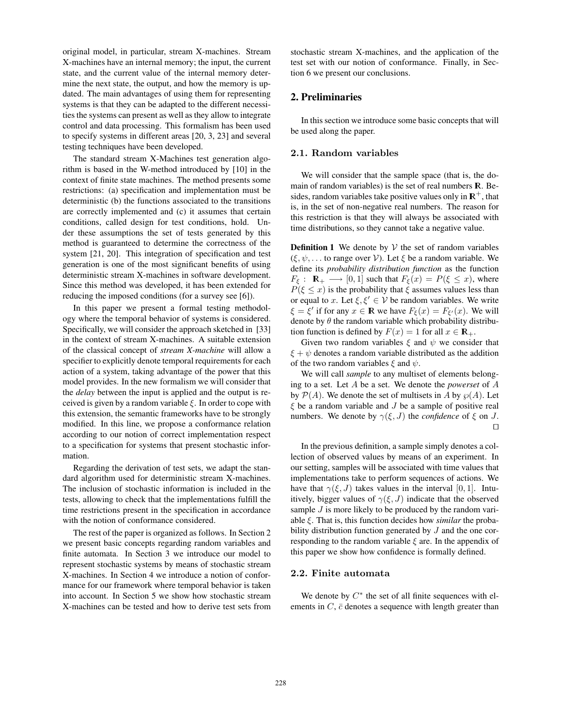original model, in particular, stream X-machines. Stream X-machines have an internal memory; the input, the current state, and the current value of the internal memory determine the next state, the output, and how the memory is updated. The main advantages of using them for representing systems is that they can be adapted to the different necessities the systems can present as well as they allow to integrate control and data processing. This formalism has been used to specify systems in different areas [20, 3, 23] and several testing techniques have been developed.

The standard stream X-Machines test generation algorithm is based in the W-method introduced by [10] in the context of finite state machines. The method presents some restrictions: (a) specification and implementation must be deterministic (b) the functions associated to the transitions are correctly implemented and (c) it assumes that certain conditions, called design for test conditions, hold. Under these assumptions the set of tests generated by this method is guaranteed to determine the correctness of the system [21, 20]. This integration of specification and test generation is one of the most significant benefits of using deterministic stream X-machines in software development. Since this method was developed, it has been extended for reducing the imposed conditions (for a survey see [6]).

In this paper we present a formal testing methodology where the temporal behavior of systems is considered. Specifically, we will consider the approach sketched in [33] in the context of stream X-machines. A suitable extension of the classical concept of *stream X-machine* will allow a specifier to explicitly denote temporal requirements for each action of a system, taking advantage of the power that this model provides. In the new formalism we will consider that the *delay* between the input is applied and the output is received is given by a random variable  $\xi$ . In order to cope with this extension, the semantic frameworks have to be strongly modified. In this line, we propose a conformance relation according to our notion of correct implementation respect to a specification for systems that present stochastic information.

Regarding the derivation of test sets, we adapt the standard algorithm used for deterministic stream X-machines. The inclusion of stochastic information is included in the tests, allowing to check that the implementations fulfill the time restrictions present in the specification in accordance with the notion of conformance considered.

The rest of the paper is organized as follows. In Section 2 we present basic concepts regarding random variables and finite automata. In Section 3 we introduce our model to represent stochastic systems by means of stochastic stream X-machines. In Section 4 we introduce a notion of conformance for our framework where temporal behavior is taken into account. In Section 5 we show how stochastic stream X-machines can be tested and how to derive test sets from stochastic stream X-machines, and the application of the test set with our notion of conformance. Finally, in Section 6 we present our conclusions.

## **2. Preliminaries**

In this section we introduce some basic concepts that will be used along the paper.

# **2.1. Random variables**

We will consider that the sample space (that is, the domain of random variables) is the set of real numbers R. Besides, random variables take positive values only in  $\mathbb{R}^+$ , that is, in the set of non-negative real numbers. The reason for this restriction is that they will always be associated with time distributions, so they cannot take a negative value.

**Definition 1** We denote by  $V$  the set of random variables  $(\xi, \psi, \dots)$  to range over V). Let  $\xi$  be a random variable. We define its *probability distribution function* as the function  $F_{\xi}$  :  $\mathbb{R}_{+} \longrightarrow [0,1]$  such that  $F_{\xi}(x) = P(\xi \leq x)$ , where  $P(\xi \leq x)$  is the probability that  $\xi$  assumes values less than or equal to x. Let  $\xi, \xi' \in V$  be random variables. We write  $\xi = \xi'$  if for any  $x \in \mathbb{R}$  we have  $F_{\xi}(x) = F_{\xi'}(x)$ . We will denote by  $\theta$  the random variable which probability distribution function is defined by  $F(x)=1$  for all  $x \in \mathbb{R}_+$ .

Given two random variables  $\xi$  and  $\psi$  we consider that  $\xi + \psi$  denotes a random variable distributed as the addition of the two random variables  $\xi$  and  $\psi$ .

We will call *sample* to any multiset of elements belonging to a set. Let A be a set. We denote the *powerset* of A by  $\mathcal{P}(A)$ . We denote the set of multisets in A by  $\mathcal{P}(A)$ . Let  $\xi$  be a random variable and  $J$  be a sample of positive real numbers. We denote by  $\gamma(\xi, J)$  the *confidence* of  $\xi$  on  $J$ .  $\Box$ 

In the previous definition, a sample simply denotes a collection of observed values by means of an experiment. In our setting, samples will be associated with time values that implementations take to perform sequences of actions. We have that  $\gamma(\xi, J)$  takes values in the interval [0, 1]. Intuitively, bigger values of  $\gamma(\xi, J)$  indicate that the observed sample  $J$  is more likely to be produced by the random variable ξ. That is, this function decides how *similar* the probability distribution function generated by  $J$  and the one corresponding to the random variable  $\xi$  are. In the appendix of this paper we show how confidence is formally defined.

#### **2.2. Finite automata**

We denote by  $C^*$  the set of all finite sequences with elements in  $C$ ,  $\bar{c}$  denotes a sequence with length greater than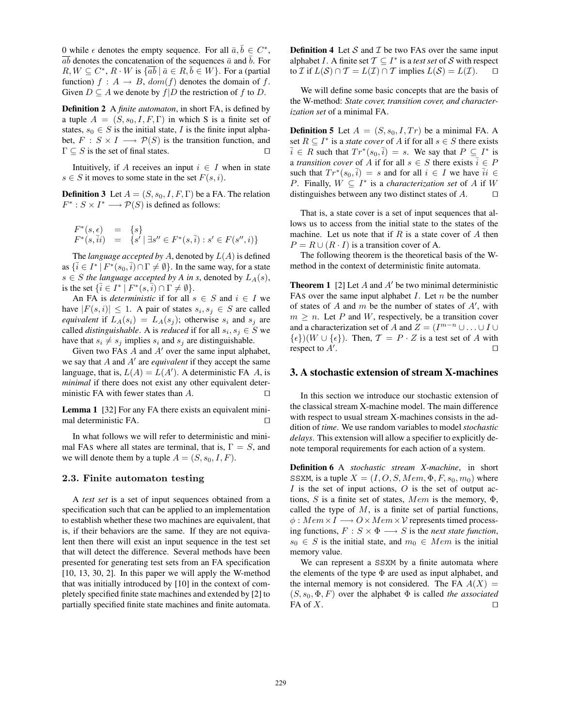0 while  $\epsilon$  denotes the empty sequence. For all  $\bar{a}, \bar{b} \in C^*$ ,  $\overline{ab}$  denotes the concatenation of the sequences  $\overline{a}$  and  $\overline{b}$ . For  $R, W \subseteq C^*, R \cdot W$  is  $\{\overline{ab} \mid \overline{a} \in R, \overline{b} \in W\}$ . For a (partial function)  $f : A \rightarrow B$ ,  $dom(f)$  denotes the domain of f. Given  $D \subseteq A$  we denote by  $f|D$  the restriction of f to D.

**Definition 2** A *finite automaton*, in short FA, is defined by a tuple  $A = (S, s_0, I, F, \Gamma)$  in which S is a finite set of states,  $s_0 \in S$  is the initial state, I is the finite input alphabet,  $F : S \times I \longrightarrow \mathcal{P}(S)$  is the transition function, and  $\Gamma \subseteq S$  is the set of final states.

Intuitively, if A receives an input  $i \in I$  when in state  $s \in S$  it moves to some state in the set  $F(s, i)$ .

**Definition 3** Let  $A = (S, s_0, I, F, \Gamma)$  be a FA. The relation  $F^*$ :  $S \times I^* \longrightarrow \mathcal{P}(S)$  is defined as follows:

$$
\begin{array}{rcl} F^*(s, \epsilon) & = & \{s\} \\ F^*(s, \bar{i}i) & = & \{s'\,|\,\, \exists s'' \in F^*(s, \bar{i}) : s' \in F(s'', i)\} \end{array}
$$

The *language accepted by A*, denoted by  $L(A)$  is defined as  $\{\bar{i} \in I^* \mid F^*(s_0, \bar{i}) \cap \Gamma \neq \emptyset\}$ . In the same way, for a state  $s \in S$  *the language accepted by A in s*, denoted by  $L_A(s)$ , is the set  $\{\overline{i} \in I^* \mid F^*(s, \overline{i}) \cap \Gamma \neq \emptyset\}.$ 

An FA is *deterministic* if for all  $s \in S$  and  $i \in I$  we have  $|F(s, i)| \leq 1$ . A pair of states  $s_i, s_j \in S$  are called *equivalent* if  $L_A(s_i) = L_A(s_j)$ ; otherwise  $s_i$  and  $s_j$  are called *distinguishable*. A is *reduced* if for all  $s_i, s_j \in S$  we have that  $s_i \neq s_j$  implies  $s_i$  and  $s_j$  are distinguishable.

Given two FAs  $\vec{A}$  and  $\vec{A}'$  over the same input alphabet, we say that  $A$  and  $A'$  are *equivalent* if they accept the same language, that is,  $L(A) = L(A')$ . A deterministic FA A, is *minimal* if there does not exist any other equivalent deterministic FA with fewer states than  $A$ .

**Lemma 1** [32] For any FA there exists an equivalent minimal deterministic FA.

In what follows we will refer to deterministic and minimal FAs where all states are terminal, that is,  $\Gamma = S$ , and we will denote them by a tuple  $A = (S, s_0, I, F)$ .

#### **2.3. Finite automaton testing**

A *test set* is a set of input sequences obtained from a specification such that can be applied to an implementation to establish whether these two machines are equivalent, that is, if their behaviors are the same. If they are not equivalent then there will exist an input sequence in the test set that will detect the difference. Several methods have been presented for generating test sets from an FA specification [10, 13, 30, 2]. In this paper we will apply the W-method that was initially introduced by [10] in the context of completely specified finite state machines and extended by [2] to partially specified finite state machines and finite automata. **Definition 4** Let  $S$  and  $I$  be two FAS over the same input alphabet I. A finite set  $T \subseteq I^*$  is a *test set* of S with respect to *I* if  $L(S) \cap T = L(T) \cap T$  implies  $L(S) = L(T)$ .  $\Box$ 

We will define some basic concepts that are the basis of the W-method: *State cover, transition cover, and characterization set* of a minimal FA.

**Definition 5** Let  $A = (S, s_0, I, Tr)$  be a minimal FA. A set  $R \subseteq I^*$  is a *state cover* of A if for all  $s \in S$  there exists  $\overline{i} \in R$  such that  $Tr^*(s_0, \overline{i}) = s$ . We say that  $P \subseteq I^*$  is a *transition cover* of A if for all  $s \in S$  there exists  $\overline{i} \in P$ such that  $Tr^*(s_0, \overline{i}) = s$  and for all  $i \in I$  we have  $\overline{ii} \in I$ P. Finally,  $W \subseteq I^*$  is a *characterization set* of A if W distinguishes between any two distinct states of  $A$ .  $\Box$ 

That is, a state cover is a set of input sequences that allows us to access from the initial state to the states of the machine. Let us note that if R is a state cover of A then  $P = R \cup (R \cdot I)$  is a transition cover of A.

The following theorem is the theoretical basis of the Wmethod in the context of deterministic finite automata.

**Theorem 1** [2] Let A and  $A'$  be two minimal deterministic FAS over the same input alphabet  $I$ . Let  $n$  be the number of states of  $A$  and  $m$  be the number of states of  $A'$ , with  $m \geq n$ . Let P and W, respectively, be a transition cover and a characterization set of A and  $Z = (I^{m-n} \cup ... \cup I \cup I)$  $\{\epsilon\}$ )(W  $\cup$  { $\epsilon$ }). Then,  $\mathcal{T} = P \cdot Z$  is a test set of A with respect to  $A'$ . .

#### **3. A stochastic extension of stream X-machines**

In this section we introduce our stochastic extension of the classical stream X-machine model. The main difference with respect to usual stream X-machines consists in the addition of *time*. We use random variables to model *stochastic delays*. This extension will allow a specifier to explicitly denote temporal requirements for each action of a system.

**Definition 6** A *stochastic stream X-machine*, in short SSXM, is a tuple  $X = (I, O, S, Mem, \Phi, F, s_0, m_0)$  where I is the set of input actions,  $O$  is the set of output actions, S is a finite set of states, Mem is the memory,  $\Phi$ , called the type of  $M$ , is a finite set of partial functions,  $\phi: Mem \times I \longrightarrow O \times Mem \times V$  represents timed processing functions,  $F : S \times \Phi \longrightarrow S$  is the *next state function*,  $s_0 \in S$  is the initial state, and  $m_0 \in Mem$  is the initial memory value.

We can represent a SSXM by a finite automata where the elements of the type  $\Phi$  are used as input alphabet, and the internal memory is not considered. The FA  $A(X) =$  $(S, s_0, \Phi, F)$  over the alphabet  $\Phi$  is called *the associated* FA of  $X$ .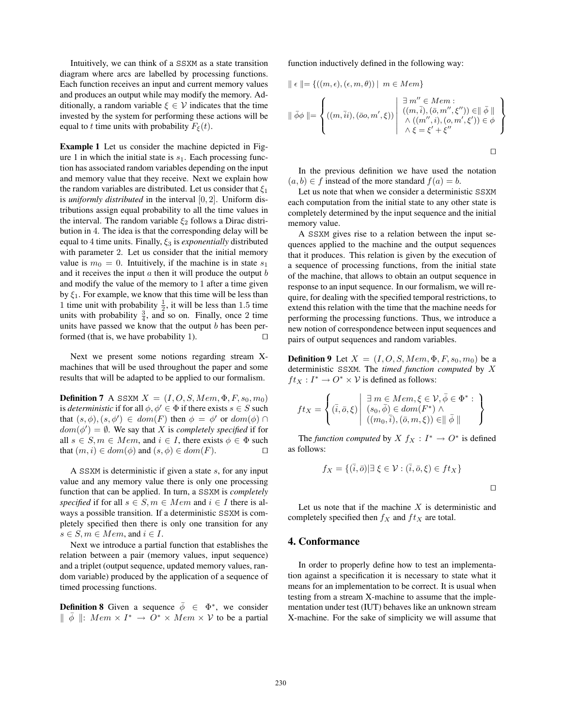Intuitively, we can think of a SSXM as a state transition diagram where arcs are labelled by processing functions. Each function receives an input and current memory values and produces an output while may modify the memory. Additionally, a random variable  $\xi \in V$  indicates that the time invested by the system for performing these actions will be equal to t time units with probability  $F_{\xi}(t)$ .

**Example 1** Let us consider the machine depicted in Figure 1 in which the initial state is  $s<sub>1</sub>$ . Each processing function has associated random variables depending on the input and memory value that they receive. Next we explain how the random variables are distributed. Let us consider that  $\xi_1$ is *uniformly distributed* in the interval [0, 2]. Uniform distributions assign equal probability to all the time values in the interval. The random variable  $\xi_2$  follows a Dirac distribution in 4. The idea is that the corresponding delay will be equal to 4 time units. Finally,  $\xi_3$  is *exponentially* distributed with parameter 2. Let us consider that the initial memory value is  $m_0 = 0$ . Intuitively, if the machine is in state  $s_1$ and it receives the input  $a$  then it will produce the output  $b$ and modify the value of the memory to 1 after a time given by  $\xi_1$ . For example, we know that this time will be less than 1 time unit with probability  $\frac{1}{2}$ , it will be less than 1.5 time units with probability  $\frac{3}{4}$ , and so on. Finally, once 2 time units have passed we know that the output  $b$  has been performed (that is, we have probability 1).  $\square$ 

Next we present some notions regarding stream Xmachines that will be used throughout the paper and some results that will be adapted to be applied to our formalism.

**Definition 7** A SSXM  $X = (I, O, S, Mem, \Phi, F, s_0, m_0)$ is *deterministic* if for all  $\phi, \phi' \in \Phi$  if there exists  $s \in S$  such that  $(s, \phi), (s, \phi') \in dom(F)$  then  $\phi = \phi'$  or  $dom(\phi) \cap$  $dom(\phi') = \emptyset$ . We say that X is *completely specified* if for all  $s \in S, m \in Mem$ , and  $i \in I$ , there exists  $\phi \in \Phi$  such that  $(m, i) \in dom(\phi)$  and  $(s, \phi) \in dom(F)$ .

A SSXM is deterministic if given a state s, for any input value and any memory value there is only one processing function that can be applied. In turn, a SSXM is *completely specified* if for all  $s \in S, m \in Mem$  and  $i \in I$  there is always a possible transition. If a deterministic SSXM is completely specified then there is only one transition for any  $s \in S, m \in Mem$ , and  $i \in I$ .

Next we introduce a partial function that establishes the relation between a pair (memory values, input sequence) and a triplet (output sequence, updated memory values, random variable) produced by the application of a sequence of timed processing functions.

**Definition 8** Given a sequence  $\bar{\phi} \in \Phi^*$ , we consider  $\parallel \phi \parallel$ :  $Mem \times I^* \rightarrow O^* \times Mem \times V$  to be a partial function inductively defined in the following way:

$$
\parallel \epsilon \parallel = \{((m, \epsilon), (\epsilon, m, \theta)) \mid m \in Mem\}
$$
  

$$
\parallel \bar{\phi}\phi \parallel = \left\{ ((m, \bar{i}i), (\bar{o}o, m', \xi)) \middle| \begin{array}{l} \exists m'' \in Mem : \\ ((m, \bar{i}), (\bar{o}, m'', \xi'')) \in \parallel \bar{\phi} \parallel \\ \wedge ((m'', i), (o, m', \xi')) \in \phi \\ \wedge \xi = \xi' + \xi'' \end{array} \right\}
$$

In the previous definition we have used the notation  $(a, b) \in f$  instead of the more standard  $f(a) = b$ .

Let us note that when we consider a deterministic SSXM each computation from the initial state to any other state is completely determined by the input sequence and the initial memory value.

A SSXM gives rise to a relation between the input sequences applied to the machine and the output sequences that it produces. This relation is given by the execution of a sequence of processing functions, from the initial state of the machine, that allows to obtain an output sequence in response to an input sequence. In our formalism, we will require, for dealing with the specified temporal restrictions, to extend this relation with the time that the machine needs for performing the processing functions. Thus, we introduce a new notion of correspondence between input sequences and pairs of output sequences and random variables.

**Definition 9** Let  $X = (I, O, S, Mem, \Phi, F, s_0, m_0)$  be a deterministic SSXM. The *timed function computed* by X  $ft_X: I^* \to O^* \times V$  is defined as follows:

$$
ft_X = \left\{ (\bar{i},\bar{o},\xi) \middle| \begin{array}{l} \exists \; m \in Mem, \xi \in \mathcal{V}, \bar{\phi} \in \Phi^* : \\ (s_0,\bar{\phi}) \in dom(F^*) \; \wedge \\ ((m_0,\bar{i}),(\bar{o},m,\xi)) \in \parallel \bar{\phi} \parallel \end{array} \right\}
$$

The *function computed* by  $X f_X : I^* \to O^*$  is defined as follows:

$$
f_X = \{(\overline{i}, \overline{o}) | \exists \xi \in \mathcal{V} : (\overline{i}, \overline{o}, \xi) \in ft_X\}
$$

 $\Box$ 

Let us note that if the machine  $X$  is deterministic and completely specified then  $f_X$  and  $f_{X}$  are total.

### **4. Conformance**

In order to properly define how to test an implementation against a specification it is necessary to state what it means for an implementation to be correct. It is usual when testing from a stream X-machine to assume that the implementation under test (IUT) behaves like an unknown stream X-machine. For the sake of simplicity we will assume that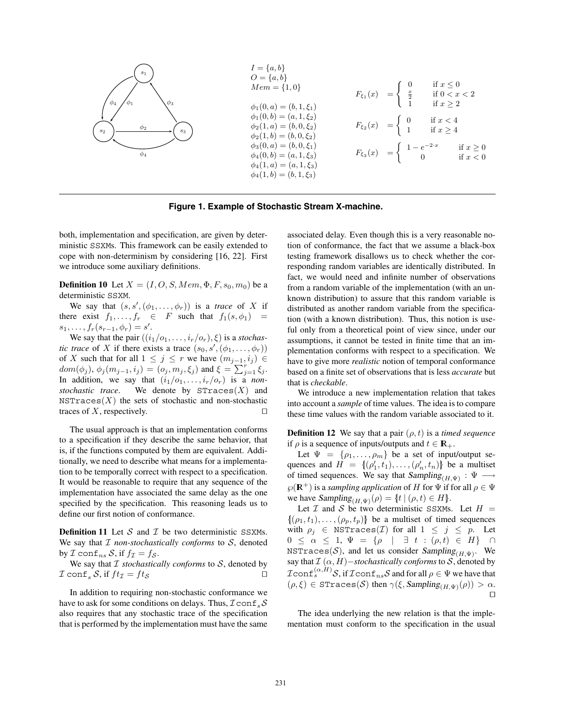$$
\begin{array}{c}\n\begin{pmatrix}\n s_1 \\
 \phi_4\n \end{pmatrix}\n\end{array}\n\end{array}\n\qquad\n\begin{array}{c}\n\begin{array}{c}\n\phi_2 \\
 \phi_4\n \end{array}\n\end{array}\n\qquad\n\begin{array}{c}\n\phi_3\n\end{array}\n\qquad\n\begin{array}{c}\n\phi_2\n\end{array}\n\qquad\n\begin{array}{c}\n\phi_3\n\end{array}\n\qquad\n\begin{array}{c}\n\phi_4\n\end{array}\n\end{array}\n\qquad\n\begin{array}{c}\n\phi_2\n\end{array}\n\qquad\n\begin{array}{c}\n\phi_3\n\end{array}\n\qquad\n\begin{array}{c}\n\phi_2\n\end{array}\n\qquad\n\begin{array}{c}\n\phi_3\n\end{array}\n\qquad\n\begin{array}{c}\n\phi_1(0, a) = (b, 1, \xi_1) \\
\phi_1(0, b) = (a, 1, \xi_2) \\
\phi_2(1, a) = (b, 0, \xi_2) \\
\phi_2(1, a) = (b, 0, \xi_2) \\
\phi_3(0, a) = (b, 0, \xi_1) \\
\phi_4(0, b) = (a, 1, \xi_3) \\
\phi_4(1, a) = (a, 1, \xi_3) \\
\phi_4(1, b) = (b, 1, \xi_3)\n\end{array}\n\qquad\n\begin{array}{c}\nF_{\xi_3}(x) = \begin{cases}\n1 - e^{-2 \cdot x} & \text{if } x \le 0 \\
0 & \text{if } x < 0 \\
0 & \text{if } x < 0\n\end{cases}
$$

**Figure 1. Example of Stochastic Stream X-machine.**

both, implementation and specification, are given by deterministic SSXMs. This framework can be easily extended to cope with non-determinism by considering [16, 22]. First we introduce some auxiliary definitions.

**Definition 10** Let  $X = (I, O, S, Mem, \Phi, F, s_0, m_0)$  be a deterministic SSXM.

We say that  $(s, s', (\phi_1, \ldots, \phi_r))$  is a *trace* of X if there exist  $f_1, \ldots, f_r \in F$  such that  $f_1(s, \phi_1) =$  $s_1, \ldots, f_r(s_{r-1}, \phi_r) = s'.$ 

We say that the pair  $((i_1/o_1,\ldots,i_r/o_r), \xi)$  is a *stochastic trace* of X if there exists a trace  $(s_0, s', (\phi_1, \ldots, \phi_r))$ of X such that for all  $1 \leq j \leq r$  we have  $(m_{j-1}, i_j) \in$  $dom(\phi_j), \, \phi_j(m_{j-1}, i_j) = (o_j, m_j, \xi_j)$  and  $\xi = \sum_{j=1}^r \xi_j$ . In addition, we say that  $(i_1/o_1, \ldots, i_r/o_r)$  is a *nonstochastic trace.* We denote by  $STraces(X)$  and NSTraces $(X)$  the sets of stochastic and non-stochastic traces of X, respectively.

The usual approach is that an implementation conforms to a specification if they describe the same behavior, that is, if the functions computed by them are equivalent. Additionally, we need to describe what means for a implementation to be temporally correct with respect to a specification. It would be reasonable to require that any sequence of the implementation have associated the same delay as the one specified by the specification. This reasoning leads us to define our first notion of conformance.

**Definition 11** Let  $S$  and  $T$  be two deterministic SSXMs. We say that *I non-stochastically conforms* to *S*, denoted by  $\mathcal I$  conf<sub>ns</sub>  $\mathcal S$ , if  $f_{\mathcal I} = f_{\mathcal S}$ .

We say that  $I$  *stochastically conforms* to  $S$ , denoted by  $\mathcal{I}$  conf<sub>s</sub>  $\mathcal{S}$ , if  $ft_{\mathcal{I}} = ft_{\mathcal{S}}$ 

In addition to requiring non-stochastic conformance we have to ask for some conditions on delays. Thus,  $\mathcal{I}$  conf. also requires that any stochastic trace of the specification that is performed by the implementation must have the same associated delay. Even though this is a very reasonable notion of conformance, the fact that we assume a black-box testing framework disallows us to check whether the corresponding random variables are identically distributed. In fact, we would need and infinite number of observations from a random variable of the implementation (with an unknown distribution) to assure that this random variable is distributed as another random variable from the specification (with a known distribution). Thus, this notion is useful only from a theoretical point of view since, under our assumptions, it cannot be tested in finite time that an implementation conforms with respect to a specification. We have to give more *realistic* notion of temporal conformance based on a finite set of observations that is less *accurate* but that is *checkable*.

We introduce a new implementation relation that takes into account a *sample* of time values. The idea is to compare these time values with the random variable associated to it.

**Definition 12** We say that a pair  $(\rho, t)$  is a *timed sequence* if  $\rho$  is a sequence of inputs/outputs and  $t \in \mathbb{R}_+$ .

Let  $\Psi = {\rho_1, \ldots, \rho_m}$  be a set of input/output sequences and  $H = \{(\rho'_1, t_1), \ldots, (\rho'_n, t_n)\}\)$  be a multiset of timed sequences. We say that  $Sampling_{(H,\Psi)} : \Psi \longrightarrow$  $\varphi(\mathbb{R}^+)$  is a *sampling application* of H for  $\Psi$  if for all  $\rho \in \Psi$ we have  $Sampling_{(H,\Psi)}(\rho) = \{t \mid (\rho, t) \in H\}.$ 

Let  $I$  and  $S$  be two deterministic SSXMs. Let  $H =$  $\{(\rho_1, t_1), \ldots, (\rho_p, t_p)\}\$  be a multiset of timed sequences with  $\rho_j \in \text{NSTraces}(\mathcal{I})$  for all  $1 \leq j \leq p$ . Let  $0 \le \alpha \le 1, \Psi = \{\rho \mid \exists t : (\rho, t) \in H\} \cap$ NSTraces(S), and let us consider  $Sampling_{(H,\Psi)}$ . We say that  $\mathcal{I}(\alpha, H)$  –*stochastically conforms* to S, denoted by  $\mathcal{I}$ con $f_s^{(\alpha,H)}S$ , if  $\mathcal{I}$ con $f_{ns}S$  and for all  $\rho \in \Psi$  we have that  $(\rho, \xi) \in$  STraces(S) then  $\gamma(\xi,$  Sampling<sub> $(H, \Psi)(\rho)) > \alpha$ .</sub>  $\Box$ 

The idea underlying the new relation is that the implementation must conform to the specification in the usual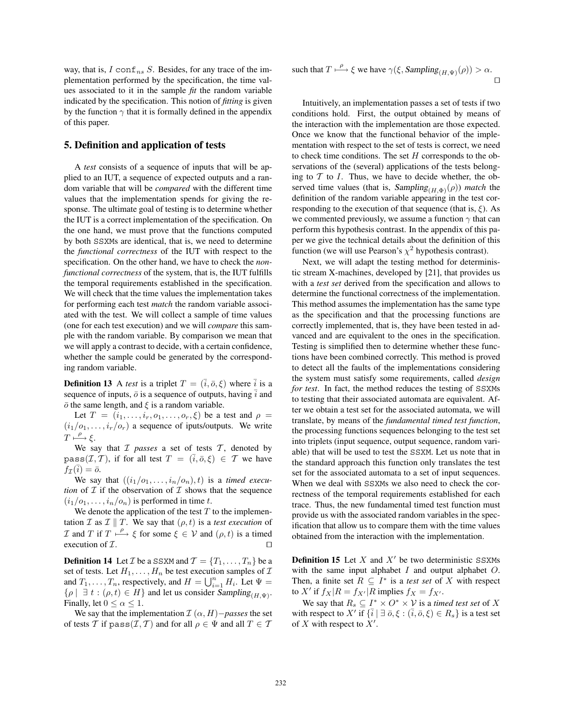way, that is,  $I \text{ conf}_{ns} S$ . Besides, for any trace of the implementation performed by the specification, the time values associated to it in the sample *fit* the random variable indicated by the specification. This notion of *fitting* is given by the function  $\gamma$  that it is formally defined in the appendix of this paper.

## **5. Definition and application of tests**

A *test* consists of a sequence of inputs that will be applied to an IUT, a sequence of expected outputs and a random variable that will be *compared* with the different time values that the implementation spends for giving the response. The ultimate goal of testing is to determine whether the IUT is a correct implementation of the specification. On the one hand, we must prove that the functions computed by both SSXMs are identical, that is, we need to determine the *functional correctness* of the IUT with respect to the specification. On the other hand, we have to check the *nonfunctional correctness* of the system, that is, the IUT fulfills the temporal requirements established in the specification. We will check that the time values the implementation takes for performing each test *match* the random variable associated with the test. We will collect a sample of time values (one for each test execution) and we will *compare* this sample with the random variable. By comparison we mean that we will apply a contrast to decide, with a certain confidence, whether the sample could be generated by the corresponding random variable.

**Definition 13** A *test* is a triplet  $T = (\bar{i}, \bar{o}, \xi)$  where  $\bar{i}$  is a sequence of inputs,  $\bar{o}$  is a sequence of outputs, having  $\bar{i}$  and  $\overline{o}$  the same length, and  $\xi$  is a random variable.

Let  $T = (i_1, \ldots, i_r, o_1, \ldots, o_r, \xi)$  be a test and  $\rho =$  $(i_1/o_1,\ldots,i_r/o_r)$  a sequence of iputs/outputs. We write  $T \stackrel{\rho}{\longmapsto} \xi.$ 

We say that  $I$  *passes* a set of tests  $I$ , denoted by pass( $\mathcal{I}, \mathcal{T}$ ), if for all test  $T = (\bar{i}, \bar{o}, \xi) \in \mathcal{T}$  we have  $f_{\mathcal{I}}(i)=\bar{o}.$ 

We say that  $((i_1/o_1,\ldots,i_n/o_n),t)$  is a *timed execution* of  $I$  if the observation of  $I$  shows that the sequence  $(i_1/o_1,\ldots,i_n/o_n)$  is performed in time t.

We denote the application of the test  $T$  to the implementation  $\mathcal I$  as  $\mathcal I \parallel T$ . We say that  $(\rho, t)$  is a *test execution* of *I* and *T* if  $T \xrightarrow{\rho} \xi$  for some  $\xi \in V$  and  $(\rho, t)$  is a timed execution of  $I$ .

**Definition 14** Let  $\mathcal{I}$  be a SSXM and  $\mathcal{T} = \{T_1, \ldots, T_n\}$  be a set of tests. Let  $H_1, \ldots, H_n$  be test execution samples of  $\mathcal I$ and  $T_1, \ldots, T_n$ , respectively, and  $H = \bigcup_{i=1}^n H_i$ . Let  $\Psi =$  $\{\rho \mid \exists t : (\rho, t) \in H\}$  and let us consider Sampling<sub> $(H, \Psi)$ </sub>. Finally, let  $0 \leq \alpha \leq 1$ .

We say that the implementation  $\mathcal{I}(\alpha, H)$ *−passes* the set of tests T if  $\text{pass}(\mathcal{I}, \mathcal{T})$  and for all  $\rho \in \Psi$  and all  $T \in \mathcal{T}$  such that  $T \xrightarrow{\rho} \xi$  we have  $\gamma(\xi,$  Sampling<sub> $(H,\Psi)(\rho)) > \alpha$ .</sub>  $\Box$ 

Intuitively, an implementation passes a set of tests if two conditions hold. First, the output obtained by means of the interaction with the implementation are those expected. Once we know that the functional behavior of the implementation with respect to the set of tests is correct, we need to check time conditions. The set  $H$  corresponds to the observations of the (several) applications of the tests belonging to  $T$  to  $I$ . Thus, we have to decide whether, the observed time values (that is,  $Sampling_{(H,\Phi)}(\rho)$ ) *match* the definition of the random variable appearing in the test corresponding to the execution of that sequence (that is,  $\xi$ ). As we commented previously, we assume a function  $\gamma$  that can perform this hypothesis contrast. In the appendix of this paper we give the technical details about the definition of this function (we will use Pearson's  $\chi^2$  hypothesis contrast).

Next, we will adapt the testing method for deterministic stream X-machines, developed by [21], that provides us with a *test set* derived from the specification and allows to determine the functional correctness of the implementation. This method assumes the implementation has the same type as the specification and that the processing functions are correctly implemented, that is, they have been tested in advanced and are equivalent to the ones in the specification. Testing is simplified then to determine whether these functions have been combined correctly. This method is proved to detect all the faults of the implementations considering the system must satisfy some requirements, called *design for test*. In fact, the method reduces the testing of SSXMs to testing that their associated automata are equivalent. After we obtain a test set for the associated automata, we will translate, by means of the *fundamental timed test function*, the processing functions sequences belonging to the test set into triplets (input sequence, output sequence, random variable) that will be used to test the SSXM. Let us note that in the standard approach this function only translates the test set for the associated automata to a set of input sequences. When we deal with SSXMs we also need to check the correctness of the temporal requirements established for each trace. Thus, the new fundamental timed test function must provide us with the associated random variables in the specification that allow us to compare them with the time values obtained from the interaction with the implementation.

**Definition 15** Let  $X$  and  $X'$  be two deterministic SSXMs with the same input alphabet  $I$  and output alphabet  $O$ . Then, a finite set  $R \subseteq I^*$  is a *test set* of X with respect to X' if  $f_X|R = f_{X'}|R$  implies  $f_X = f_{X'}$ .

We say that  $R_s \subseteq I^* \times O^* \times V$  is a *timed test set* of X with respect to X' if  $\{\bar{i} \mid \exists \bar{o}, \xi : (\bar{i}, \bar{o}, \xi) \in R_{s}\}\$ is a test set of X with respect to  $X'$ .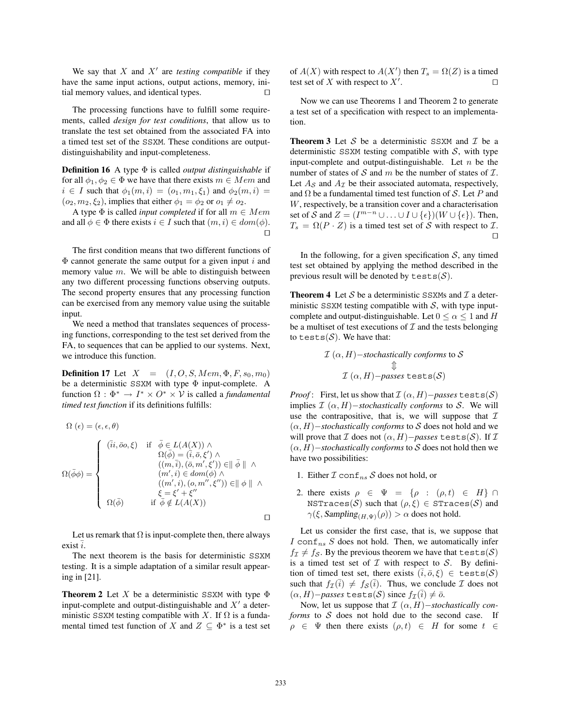We say that  $X$  and  $X'$  are *testing compatible* if they have the same input actions, output actions, memory, initial memory values, and identical types.

The processing functions have to fulfill some requirements, called *design for test conditions*, that allow us to translate the test set obtained from the associated FA into a timed test set of the SSXM. These conditions are outputdistinguishability and input-completeness.

**Definition 16** A type Φ is called *output distinguishable* if for all  $\phi_1, \phi_2 \in \Phi$  we have that there exists  $m \in \mathbb{N}$ em and  $i \in I$  such that  $\phi_1(m, i)=(o_1, m_1, \xi_1)$  and  $\phi_2(m, i)$  =  $(o_2, m_2, \xi_2)$ , implies that either  $\phi_1 = \phi_2$  or  $o_1 \neq o_2$ .

A type  $\Phi$  is called *input completed* if for all  $m \in Mem$ and all  $\phi \in \Phi$  there exists  $i \in I$  such that  $(m, i) \in dom(\phi)$ .  $\Box$ 

The first condition means that two different functions of  $\Phi$  cannot generate the same output for a given input i and memory value  $m$ . We will be able to distinguish between any two different processing functions observing outputs. The second property ensures that any processing function can be exercised from any memory value using the suitable input.

We need a method that translates sequences of processing functions, corresponding to the test set derived from the FA, to sequences that can be applied to our systems. Next, we introduce this function.

**Definition 17** Let  $X = (I, O, S, Mem, \Phi, F, s_0, m_0)$ be a deterministic SSXM with type Φ input-complete. A function  $\Omega : \Phi^* \to I^* \times O^* \times V$  is called a *fundamental timed test function* if its definitions fulfills:

$$
\Omega(\epsilon) = (\epsilon, \epsilon, \theta)
$$
\n
$$
\Omega(\bar{\phi}) = \begin{cases}\n(\bar{i}i, \bar{o}o, \xi) & \text{if } \bar{\phi} \in L(A(X)) \land \\
\Omega(\bar{\phi}) = (\bar{i}, \bar{o}, \xi') \land \\
(m, \bar{i}), (\bar{o}, m', \xi')) \in || \bar{\phi} || \land \\
(m', i) \in dom(\phi) \land \\
(m', i), (o, m'', \xi'')) \in || \phi || \land \\
\epsilon = \xi' + \xi'' \\
\Omega(\bar{\phi}) & \text{if } \bar{\phi} \notin L(A(X))\n\end{cases}
$$

Let us remark that  $\Omega$  is input-complete then, there always exist  $\overline{i}$ .

The next theorem is the basis for deterministic SSXM testing. It is a simple adaptation of a similar result appearing in [21].

**Theorem 2** Let X be a deterministic SSXM with type  $\Phi$ input-complete and output-distinguishable and  $X'$  a deterministic SSXM testing compatible with X. If  $\Omega$  is a fundamental timed test function of X and  $Z \subseteq \Phi^*$  is a test set

of  $A(X)$  with respect to  $A(X')$  then  $T_s = \Omega(Z)$  is a timed test set of X with respect to  $X'$ . .

Now we can use Theorems 1 and Theorem 2 to generate a test set of a specification with respect to an implementation.

**Theorem 3** Let S be a deterministic SSXM and  $\mathcal{I}$  be a deterministic SSXM testing compatible with  $S$ , with type input-complete and output-distinguishable. Let  $n$  be the number of states of S and m be the number of states of  $I$ . Let  $A_{\mathcal{S}}$  and  $A_{\mathcal{I}}$  be their associated automata, respectively, and  $\Omega$  be a fundamental timed test function of S. Let P and W, respectively, be a transition cover and a characterisation set of S and  $Z = (I^{m-n} \cup ... \cup I \cup \{\epsilon\}) (W \cup \{\epsilon\})$ . Then,  $T_s = \Omega(P \cdot Z)$  is a timed test set of S with respect to I.  $\Box$ 

In the following, for a given specification  $S$ , any timed test set obtained by applying the method described in the previous result will be denoted by  $\text{tests}(\mathcal{S})$ .

**Theorem 4** Let S be a deterministic SSXMs and  $\mathcal{I}$  a deterministic SSXM testing compatible with  $S$ , with type inputcomplete and output-distinguishable. Let  $0 \le \alpha \le 1$  and H be a multiset of test executions of  $\mathcal I$  and the tests belonging to tests $(S)$ . We have that:

$$
\mathcal{I}(\alpha, H)
$$
—stochastically conforms to  $S$   

$$
\qquad \qquad \downarrow \qquad \qquad \downarrow
$$
  

$$
\mathcal{I}(\alpha, H)
$$
–passes tests( $S$ )

*Proof*: First, let us show that  $I(\alpha, H)$ *−passes* tests(S) implies  $\mathcal{I}(\alpha, H)$  –*stochastically conforms* to S. We will use the contrapositive, that is, we will suppose that  $\mathcal I$ (α, H)−*stochastically conforms* to S does not hold and we will prove that  $\mathcal I$  does not  $(\alpha, H)$ *−passes* tests(S). If  $\mathcal I$ (α, H)−*stochastically conforms* to S does not hold then we have two possibilities:

- 1. Either  $\mathcal I$  con $f_{ns}$   $\mathcal S$  does not hold, or
- 2. there exists  $\rho \in \Psi = {\rho : (\rho, t) \in H} \cap$ NSTraces(S) such that  $(\rho, \xi) \in$  STraces(S) and  $\gamma(\xi,$  Sampling<sub> $(H,\Psi)(\rho)) > \alpha$ </sub> does not hold.

Let us consider the first case, that is, we suppose that I conf<sub>ns</sub> S does not hold. Then, we automatically infer  $f_{\mathcal{I}} \neq f_{\mathcal{S}}$ . By the previous theorem we have that  $\text{tests}(\mathcal{S})$ is a timed test set of  $I$  with respect to  $S$ . By definition of timed test set, there exists  $(i, \bar{o}, \xi) \in \text{tests}(\mathcal{S})$ such that  $f_{\mathcal{I}}(\overline{i}) \neq f_{\mathcal{S}}(\overline{i})$ . Thus, we conclude  $\mathcal{I}$  does not  $(\alpha, H)$ *−passes* tests(S) since  $f_{\mathcal{I}}(\overline{i}) \neq \overline{o}$ .

Now, let us suppose that I (α, H)−*stochastically conforms* to S does not hold due to the second case. If  $\rho \in \Psi$  then there exists  $(\rho, t) \in H$  for some  $t \in$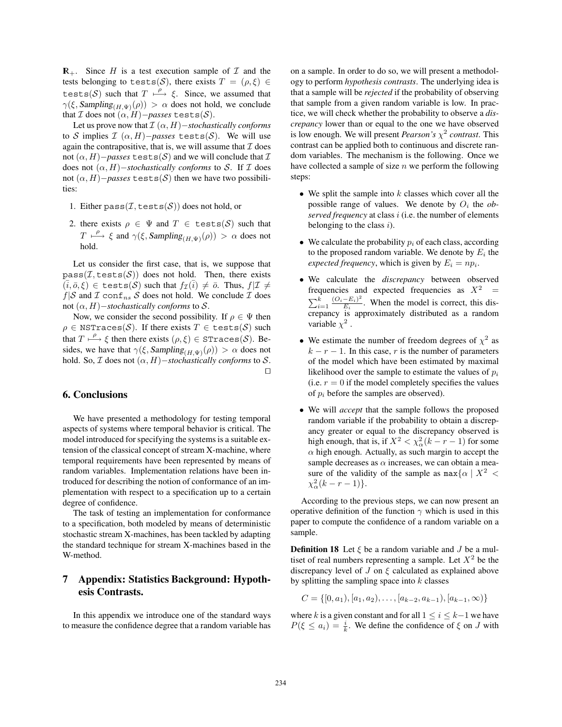$\mathbb{R}_+$ . Since H is a test execution sample of T and the tests belonging to tests(S), there exists  $T = (\rho, \xi) \in$ tests(S) such that  $T \stackrel{\rho}{\longmapsto} \xi$ . Since, we assumed that  $\gamma(\xi, \text{Sampling}_{(H,\Psi)}(\rho)) > \alpha$  does not hold, we conclude that  $\mathcal I$  does not  $(\alpha, H)$ *−passes* tests( $\mathcal S$ ).

Let us prove now that  $\mathcal{I}(\alpha, H)$  –*stochastically conforms* to S implies  $\mathcal{I}(\alpha, H)$ *-passes* tests(S). We will use again the contrapositive, that is, we will assume that  $\mathcal I$  does not  $(\alpha, H)$ *-passes* tests(S) and we will conclude that  $\mathcal I$ does not  $(\alpha, H)$ –*stochastically conforms* to S. If I does not  $(\alpha, H)$ *-passes* tests(S) then we have two possibilities:

- 1. Either pass( $\mathcal{I},$  tests( $\mathcal{S}$ )) does not hold, or
- 2. there exists  $\rho \in \Psi$  and  $T \in \text{tests}(\mathcal{S})$  such that  $T \stackrel{\rho}{\longmapsto} \xi$  and  $\gamma(\xi, \text{Sampling}_{(H,\Psi)}(\rho)) > \alpha$  does not hold.

Let us consider the first case, that is, we suppose that  $pass(\mathcal{I}, \text{tests}(\mathcal{S}))$  does not hold. Then, there exists  $(\overline{i}, \overline{o}, \xi) \in \text{tests}(\mathcal{S})$  such that  $f_{\mathcal{I}}(\overline{i}) \neq \overline{o}$ . Thus,  $f | \mathcal{I} \neq \overline{o}$  $f|\mathcal{S}$  and  $\mathcal{I}$  con $f_{ns}$   $\mathcal{S}$  does not hold. We conclude  $\mathcal{I}$  does not  $(\alpha, H)$ *-stochastically conforms* to S.

Now, we consider the second possibility. If  $\rho \in \Psi$  then  $\rho \in \text{NSTraces}(\mathcal{S})$ . If there exists  $T \in \text{tests}(\mathcal{S})$  such that  $T \stackrel{\rho}{\longmapsto} \xi$  then there exists  $(\rho, \xi) \in \text{STraces}(\mathcal{S})$ . Besides, we have that  $\gamma(\xi, \text{Sampling}_{(H,\Psi)}(\rho)) > \alpha$  does not hold. So,  $\mathcal I$  does not  $(\alpha, H)$  –*stochastically conforms* to  $\mathcal S$ .  $\Box$ 

## **6. Conclusions**

We have presented a methodology for testing temporal aspects of systems where temporal behavior is critical. The model introduced for specifying the systems is a suitable extension of the classical concept of stream X-machine, where temporal requirements have been represented by means of random variables. Implementation relations have been introduced for describing the notion of conformance of an implementation with respect to a specification up to a certain degree of confidence.

The task of testing an implementation for conformance to a specification, both modeled by means of deterministic stochastic stream X-machines, has been tackled by adapting the standard technique for stream X-machines based in the W-method.

# **7 Appendix: Statistics Background: Hypothesis Contrasts.**

In this appendix we introduce one of the standard ways to measure the confidence degree that a random variable has on a sample. In order to do so, we will present a methodology to perform *hypothesis contrasts*. The underlying idea is that a sample will be *rejected* if the probability of observing that sample from a given random variable is low. In practice, we will check whether the probability to observe a *discrepancy* lower than or equal to the one we have observed is low enough. We will present *Pearson's*  $\chi^2$  *contrast*. This contrast can be applied both to continuous and discrete random variables. The mechanism is the following. Once we have collected a sample of size  $n$  we perform the following steps:

- We split the sample into  $k$  classes which cover all the possible range of values. We denote by  $O_i$  the  $ob$ *served frequency* at class i (i.e. the number of elements belonging to the class  $i$ ).
- We calculate the probability  $p_i$  of each class, according to the proposed random variable. We denote by  $E_i$  the *expected frequency*, which is given by  $E_i = np_i$ .
- We calculate the *discrepancy* between observed frequencies and expected frequencies as  $X^2$  $\sum_{i=1}^{k} \frac{(O_i - E_i)^2}{E_i}$ . When the model is correct, this discrepancy is approximately distributed as a random variable  $\chi^2$ .
- We estimate the number of freedom degrees of  $\chi^2$  as  $k - r - 1$ . In this case, r is the number of parameters of the model which have been estimated by maximal likelihood over the sample to estimate the values of  $p_i$ (i.e.  $r = 0$  if the model completely specifies the values of  $p_i$  before the samples are observed).
- We will *accept* that the sample follows the proposed random variable if the probability to obtain a discrepancy greater or equal to the discrepancy observed is high enough, that is, if  $X^2 < \chi^2_\alpha (k - r - 1)$  for some  $\alpha$  high enough. Actually, as such margin to accept the sample decreases as  $\alpha$  increases, we can obtain a measure of the validity of the sample as  $\max{\alpha \mid X^2}$  $\chi^2_{\alpha}(k-r-1)\}.$

According to the previous steps, we can now present an operative definition of the function  $\gamma$  which is used in this paper to compute the confidence of a random variable on a sample.

**Definition 18** Let  $\xi$  be a random variable and J be a multiset of real numbers representing a sample. Let  $X^2$  be the discrepancy level of  $J$  on  $\xi$  calculated as explained above by splitting the sampling space into  $k$  classes

$$
C = \{ [0, a_1), [a_1, a_2), \dots, [a_{k-2}, a_{k-1}), [a_{k-1}, \infty) \}
$$

where k is a given constant and for all  $1 \le i \le k-1$  we have  $P(\xi \le a_i) = \frac{i}{k}$ . We define the confidence of  $\xi$  on  $J$  with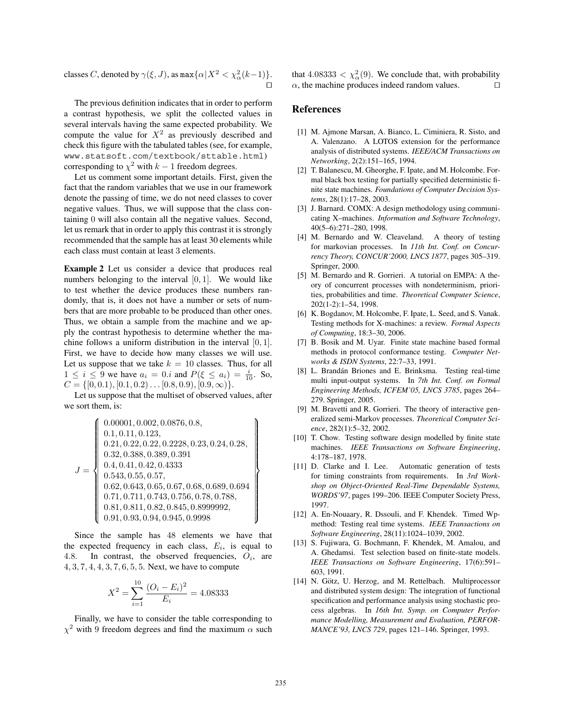classes C, denoted by  $\gamma(\xi, J)$ , as  $\max{\{\alpha | X^2 < \chi^2_\alpha(k-1)\}}$ .  $\Box$ 

The previous definition indicates that in order to perform a contrast hypothesis, we split the collected values in several intervals having the same expected probability. We compute the value for  $X^2$  as previously described and check this figure with the tabulated tables (see, for example, www.statsoft.com/textbook/sttable.html) corresponding to  $\chi^2$  with  $k - 1$  freedom degrees.

Let us comment some important details. First, given the fact that the random variables that we use in our framework denote the passing of time, we do not need classes to cover negative values. Thus, we will suppose that the class containing 0 will also contain all the negative values. Second, let us remark that in order to apply this contrast it is strongly recommended that the sample has at least 30 elements while each class must contain at least 3 elements.

**Example 2** Let us consider a device that produces real numbers belonging to the interval  $[0, 1]$ . We would like to test whether the device produces these numbers randomly, that is, it does not have a number or sets of numbers that are more probable to be produced than other ones. Thus, we obtain a sample from the machine and we apply the contrast hypothesis to determine whether the machine follows a uniform distribution in the interval [0, 1]. First, we have to decide how many classes we will use. Let us suppose that we take  $k = 10$  classes. Thus, for all  $1 \leq i \leq 9$  we have  $a_i = 0.i$  and  $P(\xi \leq a_i) = \frac{i}{10}$ . So,  $C = \{ [0, 0.1), [0.1, 0.2), \ldots, [0.8, 0.9), [0.9, \infty) \}.$ 

Let us suppose that the multiset of observed values, after we sort them, is:

$$
J = \left\{\n\begin{array}{l}\n0.00001, 0.002, 0.0876, 0.8, \\
0.1, 0.11, 0.123, \\
0.21, 0.22, 0.22, 0.2228, 0.23, 0.24, 0.28, \\
0.32, 0.388, 0.389, 0.391 \\
0.4, 0.41, 0.42, 0.4333\n\end{array}\n\right\}
$$
\n
$$
J = \left\{\n\begin{array}{l}\n0.543, 0.55, 0.57, \\
0.62, 0.643, 0.65, 0.67, 0.68, 0.689, 0.694 \\
0.71, 0.711, 0.743, 0.756, 0.78, 0.788, \\
0.81, 0.811, 0.82, 0.845, 0.8999992, \\
0.91, 0.93, 0.94, 0.945, 0.9998\n\end{array}\n\right\}
$$

Since the sample has 48 elements we have that the expected frequency in each class,  $E_i$ , is equal to 4.8. In contrast, the observed frequencies,  $O_i$ , are 4, 3, 7, 4, 4, 3, 7, 6, 5, 5. Next, we have to compute

$$
X^{2} = \sum_{i=1}^{10} \frac{(O_{i} - E_{i})^{2}}{E_{i}} = 4.08333
$$

Finally, we have to consider the table corresponding to  $\chi^2$  with 9 freedom degrees and find the maximum  $\alpha$  such

that  $4.08333 < \chi^2_{\alpha}(9)$ . We conclude that, with probability  $\alpha$ , the machine produces indeed random values.  $\square$ 

#### **References**

- [1] M. Ajmone Marsan, A. Bianco, L. Ciminiera, R. Sisto, and A. Valenzano. A LOTOS extension for the performance analysis of distributed systems. *IEEE/ACM Transactions on Networking*, 2(2):151–165, 1994.
- [2] T. Balanescu, M. Gheorghe, F. Ipate, and M. Holcombe. Formal black box testing for partially specified deterministic finite state machines. *Foundations of Computer Decision Systems*, 28(1):17–28, 2003.
- [3] J. Barnard. COMX: A design methodology using communicating X–machines. *Information and Software Technology*, 40(5–6):271–280, 1998.
- [4] M. Bernardo and W. Cleaveland. A theory of testing for markovian processes. In *11th Int. Conf. on Concurrency Theory, CONCUR'2000, LNCS 1877*, pages 305–319. Springer, 2000.
- [5] M. Bernardo and R. Gorrieri. A tutorial on EMPA: A theory of concurrent processes with nondeterminism, priorities, probabilities and time. *Theoretical Computer Science*, 202(1-2):1–54, 1998.
- [6] K. Bogdanov, M. Holcombe, F. Ipate, L. Seed, and S. Vanak. Testing methods for X-machines: a review. *Formal Aspects of Computing*, 18:3–30, 2006.
- [7] B. Bosik and M. Uyar. Finite state machine based formal methods in protocol conformance testing. *Computer Networks & ISDN Systems*, 22:7–33, 1991.
- [8] L. Brandán Briones and E. Brinksma. Testing real-time multi input-output systems. In *7th Int. Conf. on Formal Engineering Methods, ICFEM'05, LNCS 3785*, pages 264– 279. Springer, 2005.
- [9] M. Bravetti and R. Gorrieri. The theory of interactive generalized semi-Markov processes. *Theoretical Computer Science*, 282(1):5–32, 2002.
- [10] T. Chow. Testing software design modelled by finite state machines. *IEEE Transactions on Software Engineering*, 4:178–187, 1978.
- [11] D. Clarke and I. Lee. Automatic generation of tests for timing constraints from requirements. In *3rd Workshop on Object-Oriented Real-Time Dependable Systems, WORDS'97*, pages 199–206. IEEE Computer Society Press, 1997.
- [12] A. En-Nouaary, R. Dssouli, and F. Khendek. Timed Wpmethod: Testing real time systems. *IEEE Transactions on Software Engineering*, 28(11):1024–1039, 2002.
- [13] S. Fujiwara, G. Bochmann, F. Khendek, M. Amalou, and A. Ghedamsi. Test selection based on finite-state models. *IEEE Transactions on Software Engineering*, 17(6):591– 603, 1991.
- [14] N. Götz, U. Herzog, and M. Rettelbach. Multiprocessor and distributed system design: The integration of functional specification and performance analysis using stochastic process algebras. In *16th Int. Symp. on Computer Performance Modelling, Measurement and Evaluation, PERFOR-MANCE'93, LNCS 729*, pages 121–146. Springer, 1993.